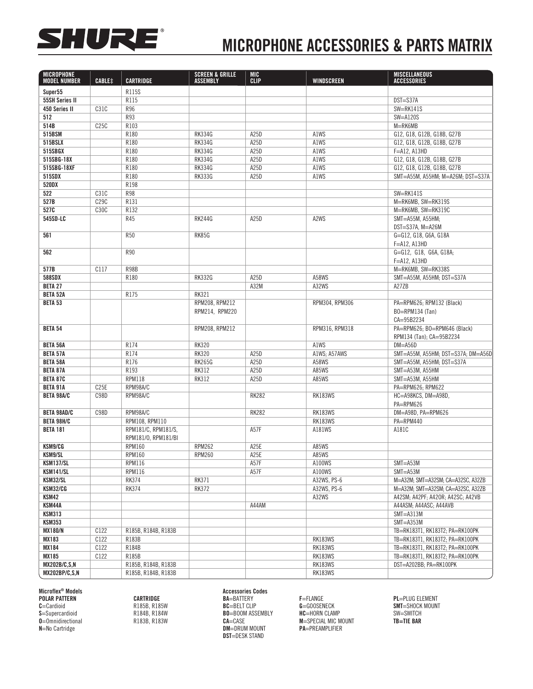

## MICROPHONE ACCESSORIES & PARTS MATRIX

| <b>MICROPHONE</b><br><b>MODEL NUMBER</b> | <b>CABLE#</b>    | <b>CARTRIDGE</b>    | <b>SCREEN &amp; GRILLE</b><br><b>ASSEMBLY</b> | <b>MIC</b><br><b>CLIP</b> | <b>WINDSCREEN</b> | <b>MISCELLANEOUS</b><br>ACCESSORIES |
|------------------------------------------|------------------|---------------------|-----------------------------------------------|---------------------------|-------------------|-------------------------------------|
|                                          |                  |                     |                                               |                           |                   |                                     |
| Super55                                  |                  | R115S               |                                               |                           |                   |                                     |
| <b>55SH Series II</b>                    |                  | R115<br>R96         |                                               |                           |                   | DST=S37A<br>$SW=RK141S$             |
| 450 Series II<br>512                     | C31C             | R93                 |                                               |                           |                   | $SW = A120S$                        |
| 514B                                     | C25C             | R103                |                                               |                           |                   | M=RK6MB                             |
| 515BSM                                   |                  | R180                | <b>RK334G</b>                                 | A25D                      | A1WS              | G12, G18, G12B, G18B, G27B          |
| 515BSLX                                  |                  | R180                | <b>RK334G</b>                                 | A25D                      | A1WS              | G12, G18, G12B, G18B, G27B          |
| 515SBGX                                  |                  | R180                | <b>RK334G</b>                                 | A25D                      | A1WS              | $F = A12$ , $A13HD$                 |
| 515SBG-18X                               |                  | R180                | <b>RK334G</b>                                 | A25D                      | A1WS              | G12, G18, G12B, G18B, G27B          |
| 515SBG-18XF                              |                  | R180                | <b>RK334G</b>                                 | A25D                      | A1WS              | G12, G18, G12B, G18B, G27B          |
| 515SDX                                   |                  | R180                | <b>RK333G</b>                                 | A25D                      | A1WS              | SMT=A55M. A55HM: M=A26M: DST=S37A   |
| 520DX                                    |                  | R198                |                                               |                           |                   |                                     |
| 522                                      | C31C             | <b>R98</b>          |                                               |                           |                   | $SW=RK141S$                         |
| 527B                                     | C29C             | R131                |                                               |                           |                   | M=RK6MB, SW=RK319S                  |
| 527C                                     | <b>C30C</b>      | R132                |                                               |                           |                   | M=RK6MB, SW=RK319C                  |
| 545SD-LC                                 |                  | R45                 | <b>RK244G</b>                                 | A25D                      | A2WS              | SMT=A55M, A55HM;                    |
|                                          |                  |                     |                                               |                           |                   | DST=S37A, M=A26M                    |
| 561                                      |                  | <b>R50</b>          | RK85G                                         |                           |                   | G=G12, G18, G6A, G18A               |
|                                          |                  |                     |                                               |                           |                   | $F = A12$ , $A13HD$                 |
| 562                                      |                  | <b>R90</b>          |                                               |                           |                   | G=G12, G18, G6A, G18A;              |
|                                          |                  |                     |                                               |                           |                   | $F = A12$ , $A13HD$                 |
| 577B                                     | C117             | R98B                |                                               |                           |                   | M=RK6MB. SW=RK338S                  |
| 588SDX                                   |                  | R180                | <b>RK332G</b>                                 | A25D                      | A58WS             | SMT=A55M, A55HM; DST=S37A           |
| <b>BETA 27</b>                           |                  |                     |                                               | A32M                      | A32WS             | A27ZB                               |
| <b>BETA 52A</b>                          |                  | R175                | <b>RK321</b>                                  |                           |                   |                                     |
| <b>BETA 53</b>                           |                  |                     | RPM208, RPM212                                |                           | RPM304. RPM306    | PA=RPM626: RPM132 (Black)           |
|                                          |                  |                     | RPM214, RPM220                                |                           |                   | B0=RPM134 (Tan)                     |
|                                          |                  |                     |                                               |                           |                   | CA=95B2234                          |
| <b>BETA 54</b>                           |                  |                     | RPM208, RPM212                                |                           | RPM316, RPM318    | PA=RPM626; BO=RPM646 (Black)        |
|                                          |                  |                     |                                               |                           |                   | RPM134 (Tan); CA=95B2234            |
| <b>BETA 56A</b>                          |                  | R174                | <b>RK320</b>                                  |                           | A1WS              | $DM = A56D$                         |
| <b>BETA 57A</b>                          |                  | R174                | <b>RK320</b>                                  | A25D                      | A1WS: A57AWS      | SMT=A55M, A55HM; DST=S37A; DM=A56D  |
| <b>BETA 58A</b>                          |                  | R176                | <b>RK265G</b>                                 | A25D                      | A58WS             | SMT=A55M, A55HM; DST=S37A           |
| <b>BETA 87A</b>                          |                  | R193                | <b>RK312</b>                                  | A25D                      | A85WS             | SMT=A53M, A55HM                     |
| <b>BETA 87C</b>                          |                  | <b>RPM118</b>       | <b>RK312</b>                                  | A25D                      | A85WS             | SMT=A53M, A55HM                     |
| <b>BETA 91A</b>                          | C <sub>25E</sub> | RPM98A/C            |                                               |                           |                   | PA=RPM626; RPM622                   |
| <b>BETA 98A/C</b>                        | C98D             | RPM98A/C            |                                               | <b>RK282</b>              | <b>RK183WS</b>    | HC=A98KCS, DM=A98D,                 |
|                                          |                  |                     |                                               |                           |                   | PA=RPM626                           |
| <b>BETA 98AD/C</b>                       | <b>C98D</b>      | RPM98A/C            |                                               | <b>RK282</b>              | <b>RK183WS</b>    | DM=A98D, PA=RPM626                  |
| <b>BETA 98H/C</b>                        |                  | RPM108, RPM110      |                                               |                           | <b>RK183WS</b>    | PA=RPM440                           |
| <b>BETA 181</b>                          |                  | RPM181/C, RPM181/S, |                                               | A57F                      | A181WS            | A181C                               |
|                                          |                  | RPM181/0, RPM181/BI |                                               |                           |                   |                                     |
| KSM9/CG                                  |                  | RPM160              | <b>RPM262</b>                                 | A <sub>25</sub> E         | A85WS             |                                     |
| KSM9/SL                                  |                  | <b>RPM160</b>       | <b>RPM260</b>                                 | A25E                      | A85WS             |                                     |
| <b>KSM137/SL</b>                         |                  | <b>RPM116</b>       |                                               | A57F                      | A100WS            | $SMT = A53M$                        |
| <b>KSM141/SL</b>                         |                  | <b>RPM116</b>       |                                               | A57F                      | A100WS            | $SMT = A53M$                        |
| KSM32/SL                                 |                  | <b>RK374</b>        | <b>RK371</b>                                  |                           | A32WS, PS-6       | M=A32M; SMT=A32SM; CA=A32SC, A32ZB  |
| KSM32/CG                                 |                  | <b>RK374</b>        | <b>RK372</b>                                  |                           | A32WS, PS-6       | M=A32M; SMT=A32SM; CA=A32SC, A32ZB  |
| KSM42                                    |                  |                     |                                               |                           | A32WS             | A42SM; A42PF; A42OR; A42SC; A42VB   |
| KSM44A                                   |                  |                     |                                               | A44AM                     |                   | A44ASM; A44ASC; A44AVB              |
| <b>KSM313</b>                            |                  |                     |                                               |                           |                   | $SMT = A313M$                       |
| <b>KSM353</b>                            |                  |                     |                                               |                           |                   | $SMT = A353M$                       |
| <b>MX180/N</b>                           | C122             | R185B, R184B, R183B |                                               |                           |                   | TB=RK183T1, RK183T2; PA=RK100PK     |
| <b>MX183</b>                             | C122             | R183B               |                                               |                           | <b>RK183WS</b>    | TB=RK183T1, RK183T2; PA=RK100PK     |
| <b>MX184</b>                             | C122             | R184B               |                                               |                           | RK183WS           | TB=RK183T1, RK183T2; PA=RK100PK     |
| <b>MX185</b>                             | C122             | R185B               |                                               |                           | RK183WS           | TB=RK183T1, RK183T2; PA=RK100PK     |
| <b>MX202B/C,S,N</b>                      |                  | R185B, R184B, R183B |                                               |                           | RK183WS           | DST=A202BB; PA=RK100PK              |
| <b>MX202BP/C,S,N</b>                     |                  | R185B, R184B, R183B |                                               |                           | RK183WS           |                                     |
|                                          |                  |                     |                                               |                           |                   |                                     |

Microflex® Models Accessories Codes Accessories Codes

O=Omnidirectional R183B, R183W CA=CASE M=SPECIAL MIC MOUNT<br>N=No Cartridge the R183B, R183W DM=DRUM MOUNT PA=PREAMPLIFIER **DM=DRUM MOUNT** DST=DESK STAND

POLAR PATTERN CARTRIDGE BA=BATTERY F=FLANGE PL=PLUG ELEMENT C=Cardioid R185B, R185W BC=BELT CLIP G=GOOSENECK SMT=SHOCK MOUNT S=Supercardioid R184B, R184W BO=BOOM ASSEMBLY HC=HORN CLAMP SW=SWITCH